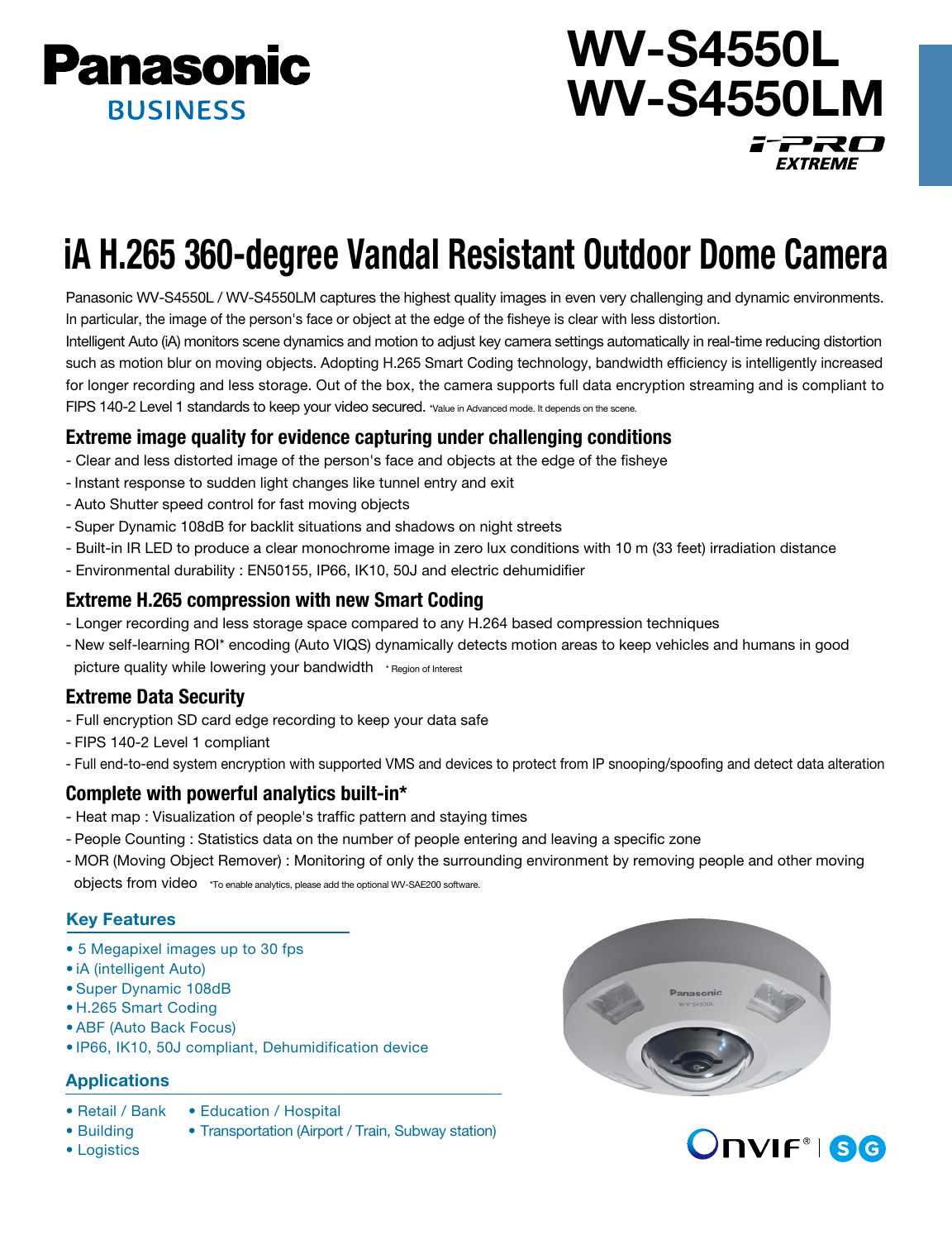

## WV-S4550L WV-S4550LM i<sup>-</sup>2RO **EXTREME**

# iA H.265 360-degree Vandal Resistant Outdoor Dome Camera

Panasonic WV-S4550L / WV-S4550LM captures the highest quality images in even very challenging and dynamic environments. In particular, the image of the person's face or object at the edge of the fisheye is clear with less distortion.

Intelligent Auto (iA) monitors scene dynamics and motion to adjust key camera settings automatically in real-time reducing distortion such as motion blur on moving objects. Adopting H.265 Smart Coding technology, bandwidth efficiency is intelligently increased for longer recording and less storage. Out of the box, the camera supports full data encryption streaming and is compliant to FIPS 140-2 Level 1 standards to keep your video secured. \*Value in Advanced mode. It depends on the scene.

#### Extreme image quality for evidence capturing under challenging conditions

- Clear and less distorted image of the person's face and objects at the edge of the fisheye
- Instant response to sudden light changes like tunnel entry and exit
- Auto Shutter speed control for fast moving objects
- Super Dynamic 108dB for backlit situations and shadows on night streets
- Built-in IR LED to produce a clear monochrome image in zero lux conditions with 10 m (33 feet) irradiation distance
- Environmental durability : EN50155, IP66, IK10, 50J and electric dehumidifier

#### Extreme H.265 compression with new Smart Coding

- Longer recording and less storage space compared to any H.264 based compression techniques
- New self-learning ROI\* encoding (Auto VIQS) dynamically detects motion areas to keep vehicles and humans in good picture quality while lowering your bandwidth \* Region of Interest

### Extreme Data Security

- Full encryption SD card edge recording to keep your data safe
- FIPS 140-2 Level 1 compliant
- Full end-to-end system encryption with supported VMS and devices to protect from IP snooping/spoofing and detect data alteration

#### Complete with powerful analytics built-in\*

- Heat map : Visualization of people's traffic pattern and staying times
- People Counting : Statistics data on the number of people entering and leaving a specific zone
- MOR (Moving Object Remover) : Monitoring of only the surrounding environment by removing people and other moving objects from video \*To enable analytics, please add the optional WV-SAE200 software.

#### Key Features

- 5 Megapixel images up to 30 fps
- iA (intelligent Auto)
- Super Dynamic 108dB
- H.265 Smart Coding
- ABF (Auto Back Focus)
- IP66, IK10, 50J compliant, Dehumidification device

#### **Applications**

- Retail / Bank Education / Hospital
- Building Transportation (Airport / Train, Subway station)
- Logistics